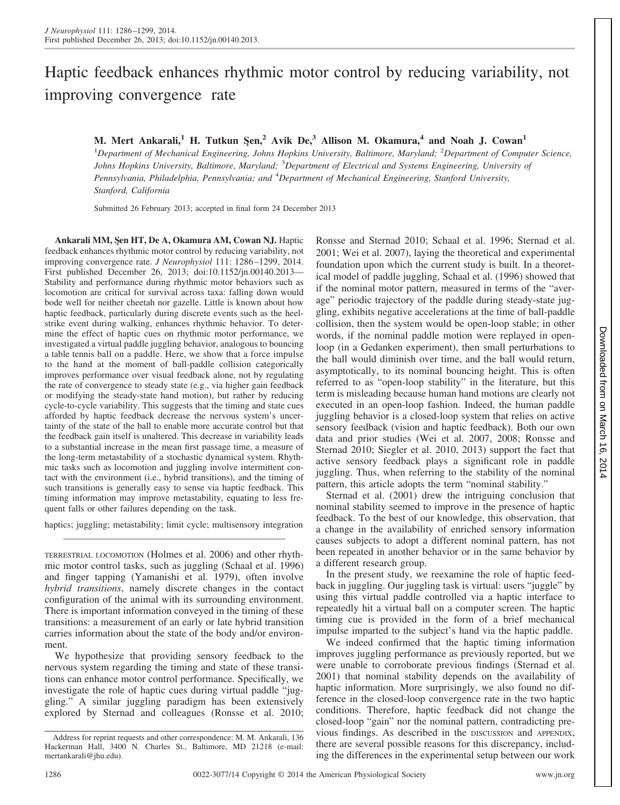# Haptic feedback enhances rhythmic motor control by reducing variability, not improving convergence rate

**M. Mert Ankarali,<sup>1</sup> H. Tutkun S¸en,<sup>2</sup> Avik De,<sup>3</sup> Allison M. Okamura,<sup>4</sup> and Noah J. Cowan<sup>1</sup>**

1 *Department of Mechanical Engineering, Johns Hopkins University, Baltimore, Maryland;* <sup>2</sup> *Department of Computer Science, Johns Hopkins University, Baltimore, Maryland;* <sup>3</sup> *Department of Electrical and Systems Engineering, University of Pennsylvania, Philadelphia, Pennsylvania; and* <sup>4</sup> *Department of Mechanical Engineering, Stanford University, Stanford, California*

Submitted 26 February 2013; accepted in final form 24 December 2013

**Ankarali MM, S¸en HT, De A, Okamura AM, Cowan NJ.** Haptic feedback enhances rhythmic motor control by reducing variability, not improving convergence rate. *J Neurophysiol* 111: 1286 –1299, 2014. First published December 26, 2013; doi:10.1152/jn.00140.2013— Stability and performance during rhythmic motor behaviors such as locomotion are critical for survival across taxa: falling down would bode well for neither cheetah nor gazelle. Little is known about how haptic feedback, particularly during discrete events such as the heelstrike event during walking, enhances rhythmic behavior. To determine the effect of haptic cues on rhythmic motor performance, we investigated a virtual paddle juggling behavior, analogous to bouncing a table tennis ball on a paddle. Here, we show that a force impulse to the hand at the moment of ball-paddle collision categorically improves performance over visual feedback alone, not by regulating the rate of convergence to steady state (e.g., via higher gain feedback or modifying the steady-state hand motion), but rather by reducing cycle-to-cycle variability. This suggests that the timing and state cues afforded by haptic feedback decrease the nervous system's uncertainty of the state of the ball to enable more accurate control but that the feedback gain itself is unaltered. This decrease in variability leads to a substantial increase in the mean first passage time, a measure of the long-term metastability of a stochastic dynamical system. Rhythmic tasks such as locomotion and juggling involve intermittent contact with the environment (i.e., hybrid transitions), and the timing of such transitions is generally easy to sense via haptic feedback. This timing information may improve metastability, equating to less frequent falls or other failures depending on the task.

haptics; juggling; metastability; limit cycle; multisensory integration

TERRESTRIAL LOCOMOTION (Holmes et al. 2006) and other rhythmic motor control tasks, such as juggling (Schaal et al. 1996) and finger tapping (Yamanishi et al. 1979), often involve *hybrid transitions*, namely discrete changes in the contact configuration of the animal with its surrounding environment. There is important information conveyed in the timing of these transitions: a measurement of an early or late hybrid transition carries information about the state of the body and/or environment.

We hypothesize that providing sensory feedback to the nervous system regarding the timing and state of these transitions can enhance motor control performance. Specifically, we investigate the role of haptic cues during virtual paddle "juggling." A similar juggling paradigm has been extensively explored by Sternad and colleagues (Ronsse et al. 2010;

Ronsse and Sternad 2010; Schaal et al. 1996; Sternad et al. 2001; Wei et al. 2007), laying the theoretical and experimental foundation upon which the current study is built. In a theoretical model of paddle juggling, Schaal et al. (1996) showed that if the nominal motor pattern, measured in terms of the "average" periodic trajectory of the paddle during steady-state juggling, exhibits negative accelerations at the time of ball-paddle collision, then the system would be open-loop stable; in other words, if the nominal paddle motion were replayed in openloop (in a Gedanken experiment), then small perturbations to the ball would diminish over time, and the ball would return, asymptotically, to its nominal bouncing height. This is often referred to as "open-loop stability" in the literature, but this term is misleading because human hand motions are clearly not executed in an open-loop fashion. Indeed, the human paddle juggling behavior is a closed-loop system that relies on active sensory feedback (vision and haptic feedback). Both our own data and prior studies (Wei et al. 2007, 2008; Ronsse and Sternad 2010; Siegler et al. 2010, 2013) support the fact that active sensory feedback plays a significant role in paddle juggling. Thus, when referring to the stability of the nominal pattern, this article adopts the term "nominal stability."

Sternad et al. (2001) drew the intriguing conclusion that nominal stability seemed to improve in the presence of haptic feedback. To the best of our knowledge, this observation, that a change in the availability of enriched sensory information causes subjects to adopt a different nominal pattern, has not been repeated in another behavior or in the same behavior by a different research group.

In the present study, we reexamine the role of haptic feedback in juggling. Our juggling task is virtual: users "juggle" by using this virtual paddle controlled via a haptic interface to repeatedly hit a virtual ball on a computer screen. The haptic timing cue is provided in the form of a brief mechanical impulse imparted to the subject's hand via the haptic paddle.

We indeed confirmed that the haptic timing information improves juggling performance as previously reported, but we were unable to corroborate previous findings (Sternad et al. 2001) that nominal stability depends on the availability of haptic information. More surprisingly, we also found no difference in the closed-loop convergence rate in the two haptic conditions. Therefore, haptic feedback did not change the closed-loop "gain" nor the nominal pattern, contradicting previous findings. As described in the DISCUSSION and APPENDIX, there are several possible reasons for this discrepancy, including the differences in the experimental setup between our work

Address for reprint requests and other correspondence: M. M. Ankarali, 136 Hackerman Hall, 3400 N. Charles St., Baltimore, MD 21218 (e-mail: [mertankarali@jhu.edu\)](mailto:mertankarali@jhu.edu).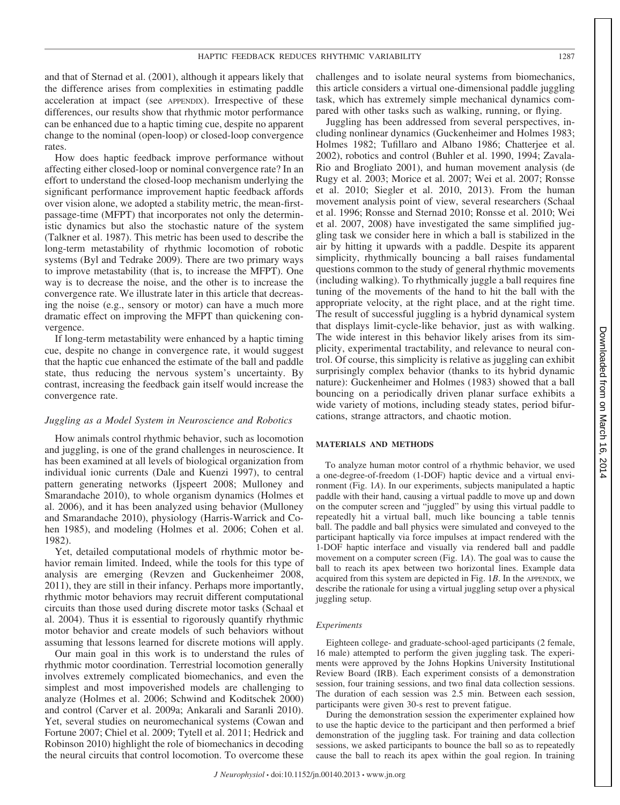and that of Sternad et al. (2001), although it appears likely that the difference arises from complexities in estimating paddle acceleration at impact (see APPENDIX). Irrespective of these differences, our results show that rhythmic motor performance can be enhanced due to a haptic timing cue, despite no apparent change to the nominal (open-loop) or closed-loop convergence rates.

How does haptic feedback improve performance without affecting either closed-loop or nominal convergence rate? In an effort to understand the closed-loop mechanism underlying the significant performance improvement haptic feedback affords over vision alone, we adopted a stability metric, the mean-firstpassage-time (MFPT) that incorporates not only the deterministic dynamics but also the stochastic nature of the system (Talkner et al. 1987). This metric has been used to describe the long-term metastability of rhythmic locomotion of robotic systems (Byl and Tedrake 2009). There are two primary ways to improve metastability (that is, to increase the MFPT). One way is to decrease the noise, and the other is to increase the convergence rate. We illustrate later in this article that decreasing the noise (e.g., sensory or motor) can have a much more dramatic effect on improving the MFPT than quickening convergence.

If long-term metastability were enhanced by a haptic timing cue, despite no change in convergence rate, it would suggest that the haptic cue enhanced the estimate of the ball and paddle state, thus reducing the nervous system's uncertainty. By contrast, increasing the feedback gain itself would increase the convergence rate.

## *Juggling as a Model System in Neuroscience and Robotics*

How animals control rhythmic behavior, such as locomotion and juggling, is one of the grand challenges in neuroscience. It has been examined at all levels of biological organization from individual ionic currents (Dale and Kuenzi 1997), to central pattern generating networks (Ijspeert 2008; Mulloney and Smarandache 2010), to whole organism dynamics (Holmes et al. 2006), and it has been analyzed using behavior (Mulloney and Smarandache 2010), physiology (Harris-Warrick and Cohen 1985), and modeling (Holmes et al. 2006; Cohen et al. 1982).

Yet, detailed computational models of rhythmic motor behavior remain limited. Indeed, while the tools for this type of analysis are emerging (Revzen and Guckenheimer 2008, 2011), they are still in their infancy. Perhaps more importantly, rhythmic motor behaviors may recruit different computational circuits than those used during discrete motor tasks (Schaal et al. 2004). Thus it is essential to rigorously quantify rhythmic motor behavior and create models of such behaviors without assuming that lessons learned for discrete motions will apply.

Our main goal in this work is to understand the rules of rhythmic motor coordination. Terrestrial locomotion generally involves extremely complicated biomechanics, and even the simplest and most impoverished models are challenging to analyze (Holmes et al. 2006; Schwind and Koditschek 2000) and control (Carver et al. 2009a; Ankarali and Saranli 2010). Yet, several studies on neuromechanical systems (Cowan and Fortune 2007; Chiel et al. 2009; Tytell et al. 2011; Hedrick and Robinson 2010) highlight the role of biomechanics in decoding the neural circuits that control locomotion. To overcome these

challenges and to isolate neural systems from biomechanics, this article considers a virtual one-dimensional paddle juggling task, which has extremely simple mechanical dynamics compared with other tasks such as walking, running, or flying.

Juggling has been addressed from several perspectives, including nonlinear dynamics (Guckenheimer and Holmes 1983; Holmes 1982; Tufillaro and Albano 1986; Chatterjee et al. 2002), robotics and control (Buhler et al. 1990, 1994; Zavala-Rio and Brogliato 2001), and human movement analysis (de Rugy et al. 2003; Morice et al. 2007; Wei et al. 2007; Ronsse et al. 2010; Siegler et al. 2010, 2013). From the human movement analysis point of view, several researchers (Schaal et al. 1996; Ronsse and Sternad 2010; Ronsse et al. 2010; Wei et al. 2007, 2008) have investigated the same simplified juggling task we consider here in which a ball is stabilized in the air by hitting it upwards with a paddle. Despite its apparent simplicity, rhythmically bouncing a ball raises fundamental questions common to the study of general rhythmic movements (including walking). To rhythmically juggle a ball requires fine tuning of the movements of the hand to hit the ball with the appropriate velocity, at the right place, and at the right time. The result of successful juggling is a hybrid dynamical system that displays limit-cycle-like behavior, just as with walking. The wide interest in this behavior likely arises from its simplicity, experimental tractability, and relevance to neural control. Of course, this simplicity is relative as juggling can exhibit surprisingly complex behavior (thanks to its hybrid dynamic nature): Guckenheimer and Holmes (1983) showed that a ball bouncing on a periodically driven planar surface exhibits a wide variety of motions, including steady states, period bifurcations, strange attractors, and chaotic motion.

## **MATERIALS AND METHODS**

To analyze human motor control of a rhythmic behavior, we used a one-degree-of-freedom (1-DOF) haptic device and a virtual environment (Fig. 1*A*). In our experiments, subjects manipulated a haptic paddle with their hand, causing a virtual paddle to move up and down on the computer screen and "juggled" by using this virtual paddle to repeatedly hit a virtual ball, much like bouncing a table tennis ball. The paddle and ball physics were simulated and conveyed to the participant haptically via force impulses at impact rendered with the 1-DOF haptic interface and visually via rendered ball and paddle movement on a computer screen (Fig. 1*A*). The goal was to cause the ball to reach its apex between two horizontal lines. Example data acquired from this system are depicted in Fig. 1*B*. In the APPENDIX, we describe the rationale for using a virtual juggling setup over a physical juggling setup.

#### *Experiments*

Eighteen college- and graduate-school-aged participants (2 female, 16 male) attempted to perform the given juggling task. The experiments were approved by the Johns Hopkins University Institutional Review Board (IRB). Each experiment consists of a demonstration session, four training sessions, and two final data collection sessions. The duration of each session was 2.5 min. Between each session, participants were given 30-s rest to prevent fatigue.

During the demonstration session the experimenter explained how to use the haptic device to the participant and then performed a brief demonstration of the juggling task. For training and data collection sessions, we asked participants to bounce the ball so as to repeatedly cause the ball to reach its apex within the goal region. In training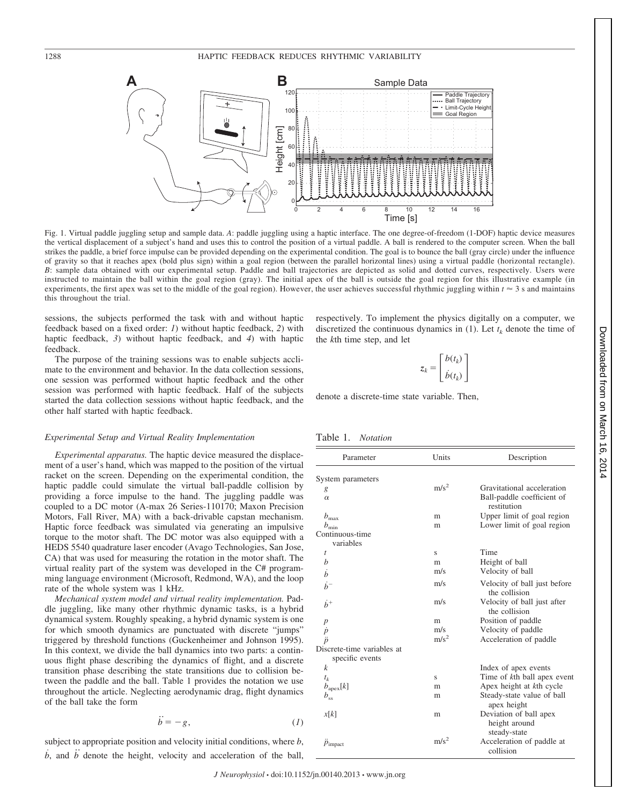## 1288 HAPTIC FEEDBACK REDUCES RHYTHMIC VARIABILITY



Fig. 1. Virtual paddle juggling setup and sample data. *A*: paddle juggling using a haptic interface. The one degree-of-freedom (1-DOF) haptic device measures the vertical displacement of a subject's hand and uses this to control the position of a virtual paddle. A ball is rendered to the computer screen. When the ball strikes the paddle, a brief force impulse can be provided depending on the experimental condition. The goal is to bounce the ball (gray circle) under the influence of gravity so that it reaches apex (bold plus sign) within a goal region (between the parallel horizontal lines) using a virtual paddle (horizontal rectangle). *B*: sample data obtained with our experimental setup. Paddle and ball trajectories are depicted as solid and dotted curves, respectively. Users were instructed to maintain the ball within the goal region (gray). The initial apex of the ball is outside the goal region for this illustrative example (in experiments, the first apex was set to the middle of the goal region). However, the user achieves successful rhythmic juggling within  $t \approx 3$  s and maintains this throughout the trial.

sessions, the subjects performed the task with and without haptic feedback based on a fixed order: *1*) without haptic feedback, *2*) with haptic feedback, *3*) without haptic feedback, and *4*) with haptic feedback.

The purpose of the training sessions was to enable subjects acclimate to the environment and behavior. In the data collection sessions, one session was performed without haptic feedback and the other session was performed with haptic feedback. Half of the subjects started the data collection sessions without haptic feedback, and the other half started with haptic feedback.

## *Experimental Setup and Virtual Reality Implementation*

*Experimental apparatus.* The haptic device measured the displacement of a user's hand, which was mapped to the position of the virtual racket on the screen. Depending on the experimental condition, the haptic paddle could simulate the virtual ball-paddle collision by providing a force impulse to the hand. The juggling paddle was coupled to a DC motor (A-max 26 Series-110170; Maxon Precision Motors, Fall River, MA) with a back-drivable capstan mechanism. Haptic force feedback was simulated via generating an impulsive torque to the motor shaft. The DC motor was also equipped with a HEDS 5540 quadrature laser encoder (Avago Technologies, San Jose, CA) that was used for measuring the rotation in the motor shaft. The virtual reality part of the system was developed in the C# programming language environment (Microsoft, Redmond, WA), and the loop rate of the whole system was 1 kHz.

*Mechanical system model and virtual reality implementation.* Paddle juggling, like many other rhythmic dynamic tasks, is a hybrid dynamical system. Roughly speaking, a hybrid dynamic system is one for which smooth dynamics are punctuated with discrete "jumps" triggered by threshold functions (Guckenheimer and Johnson 1995). In this context, we divide the ball dynamics into two parts: a continuous flight phase describing the dynamics of flight, and a discrete transition phase describing the state transitions due to collision between the paddle and the ball. Table 1 provides the notation we use throughout the article. Neglecting aerodynamic drag, flight dynamics of the ball take the form

$$
\ddot{b} = -g,\tag{1}
$$

subject to appropriate position and velocity initial conditions, where *b*,  $\vec{b}$ , and  $\vec{b}$  denote the height, velocity and acceleration of the ball, respectively. To implement the physics digitally on a computer, we discretized the continuous dynamics in (1). Let  $t_k$  denote the time of the *k*th time step, and let

$$
z_k = \begin{bmatrix} b(t_k) \\ \dot{b}(t_k) \end{bmatrix}
$$

denote a discrete-time state variable. Then,

## Table 1. *Notation*

| Parameter                  | Units            | Description                                             |  |  |  |
|----------------------------|------------------|---------------------------------------------------------|--|--|--|
| System parameters          |                  |                                                         |  |  |  |
| g                          | m/s <sup>2</sup> | Gravitational acceleration                              |  |  |  |
| $\alpha$                   |                  | Ball-paddle coefficient of<br>restitution               |  |  |  |
| $b_{\text{max}}$           | m                | Upper limit of goal region                              |  |  |  |
| $b_{\rm min}$              | m                | Lower limit of goal region                              |  |  |  |
| Continuous-time            |                  |                                                         |  |  |  |
| variables                  |                  |                                                         |  |  |  |
| t                          | S                | Time                                                    |  |  |  |
| $\boldsymbol{b}$           | m                | Height of ball                                          |  |  |  |
| $\dot{b}$                  | m/s              | Velocity of ball                                        |  |  |  |
| $\dot{b}^-$                | m/s              | Velocity of ball just before<br>the collision           |  |  |  |
| $\dot{b}^+$                | m/s              | Velocity of ball just after<br>the collision            |  |  |  |
|                            | m                | Position of paddle                                      |  |  |  |
|                            | m/s              | Velocity of paddle                                      |  |  |  |
| $\frac{p}{p}$              | $m/s^2$          | Acceleration of paddle                                  |  |  |  |
| Discrete-time variables at |                  |                                                         |  |  |  |
| specific events            |                  |                                                         |  |  |  |
| $\boldsymbol{k}$           |                  | Index of apex events                                    |  |  |  |
| $t_k$                      | S                | Time of kth ball apex event                             |  |  |  |
| $b_{\text{apex}}[k]$       | m                | Apex height at kth cycle                                |  |  |  |
| $b_{ss}$                   | m                | Steady-state value of ball<br>apex height               |  |  |  |
| x[k]                       | m                | Deviation of ball apex<br>height around<br>steady-state |  |  |  |
| $p_{\text{impact}}$        | $m/s^2$          | Acceleration of paddle at<br>collision                  |  |  |  |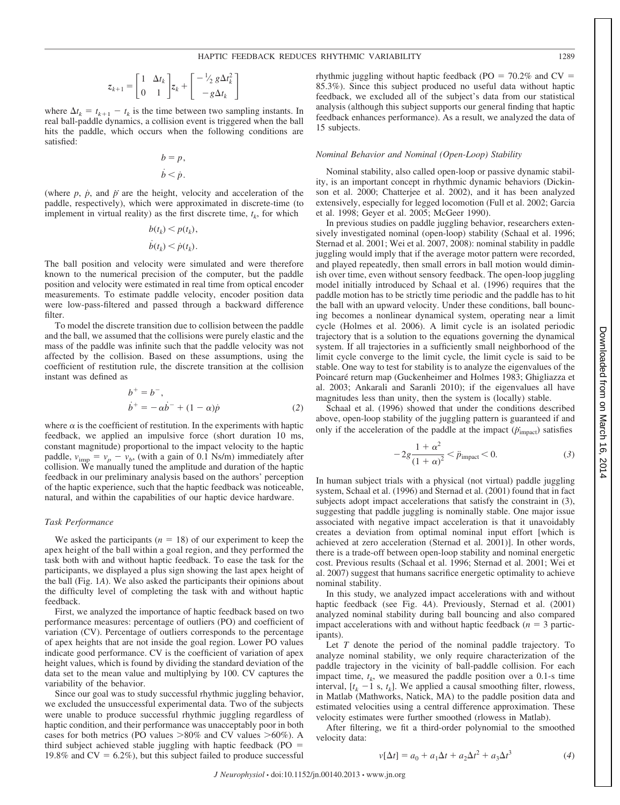$$
z_{k+1} = \begin{bmatrix} 1 & \Delta t_k \\ 0 & 1 \end{bmatrix} z_k + \begin{bmatrix} -\frac{1}{2} g \Delta t_k^2 \\ -g \Delta t_k \end{bmatrix}
$$

where  $\Delta t_k = t_{k+1} - t_k$  is the time between two sampling instants. In real ball-paddle dynamics, a collision event is triggered when the ball hits the paddle, which occurs when the following conditions are satisfied:

$$
b = p,
$$
  

$$
\dot{b} < \dot{p}.
$$

(where  $p$ ,  $\dot{p}$ , and  $\ddot{p}$  are the height, velocity and acceleration of the paddle, respectively), which were approximated in discrete-time (to implement in virtual reality) as the first discrete time,  $t_k$ , for which

$$
b(t_k) < p(t_k),
$$
\n
$$
\dot{b}(t_k) < \dot{p}(t_k).
$$

The ball position and velocity were simulated and were therefore known to the numerical precision of the computer, but the paddle position and velocity were estimated in real time from optical encoder measurements. To estimate paddle velocity, encoder position data were low-pass-filtered and passed through a backward difference filter.

To model the discrete transition due to collision between the paddle and the ball, we assumed that the collisions were purely elastic and the mass of the paddle was infinite such that the paddle velocity was not affected by the collision. Based on these assumptions, using the coefficient of restitution rule, the discrete transition at the collision instant was defined as

$$
b^{+} = b^{-},
$$
  
\n
$$
\dot{b}^{+} = -\alpha \dot{b}^{-} + (1 - \alpha)\dot{p}
$$
\n(2)

where  $\alpha$  is the coefficient of restitution. In the experiments with haptic feedback, we applied an impulsive force (short duration 10 ms, constant magnitude) proportional to the impact velocity to the haptic paddle,  $v_{\text{imp}} = v_p - v_b$ , (with a gain of 0.1 Ns/m) immediately after collision. We manually tuned the amplitude and duration of the haptic feedback in our preliminary analysis based on the authors' perception of the haptic experience, such that the haptic feedback was noticeable, natural, and within the capabilities of our haptic device hardware.

#### *Task Performance*

We asked the participants  $(n = 18)$  of our experiment to keep the apex height of the ball within a goal region, and they performed the task both with and without haptic feedback. To ease the task for the participants, we displayed a plus sign showing the last apex height of the ball (Fig. 1*A*). We also asked the participants their opinions about the difficulty level of completing the task with and without haptic feedback.

First, we analyzed the importance of haptic feedback based on two performance measures: percentage of outliers (PO) and coefficient of variation (CV). Percentage of outliers corresponds to the percentage of apex heights that are not inside the goal region. Lower PO values indicate good performance. CV is the coefficient of variation of apex height values, which is found by dividing the standard deviation of the data set to the mean value and multiplying by 100. CV captures the variability of the behavior.

Since our goal was to study successful rhythmic juggling behavior, we excluded the unsuccessful experimental data. Two of the subjects were unable to produce successful rhythmic juggling regardless of haptic condition, and their performance was unacceptably poor in both cases for both metrics (PO values  $>80\%$  and CV values  $>60\%$ ). A third subject achieved stable juggling with haptic feedback (PO 19.8% and  $CV = 6.2\%)$ , but this subject failed to produce successful

rhythmic juggling without haptic feedback (PO =  $70.2\%$  and CV = 85.3%). Since this subject produced no useful data without haptic feedback, we excluded all of the subject's data from our statistical analysis (although this subject supports our general finding that haptic feedback enhances performance). As a result, we analyzed the data of 15 subjects.

#### *Nominal Behavior and Nominal (Open-Loop) Stability*

Nominal stability, also called open-loop or passive dynamic stability, is an important concept in rhythmic dynamic behaviors (Dickinson et al. 2000; Chatterjee et al. 2002), and it has been analyzed extensively, especially for legged locomotion (Full et al. 2002; Garcia et al. 1998; Geyer et al. 2005; McGeer 1990).

In previous studies on paddle juggling behavior, researchers extensively investigated nominal (open-loop) stability (Schaal et al. 1996; Sternad et al. 2001; Wei et al. 2007, 2008): nominal stability in paddle juggling would imply that if the average motor pattern were recorded, and played repeatedly, then small errors in ball motion would diminish over time, even without sensory feedback. The open-loop juggling model initially introduced by Schaal et al. (1996) requires that the paddle motion has to be strictly time periodic and the paddle has to hit the ball with an upward velocity. Under these conditions, ball bouncing becomes a nonlinear dynamical system, operating near a limit cycle (Holmes et al. 2006). A limit cycle is an isolated periodic trajectory that is a solution to the equations governing the dynamical system. If all trajectories in a sufficiently small neighborhood of the limit cycle converge to the limit cycle, the limit cycle is said to be stable. One way to test for stability is to analyze the eigenvalues of the Poincaré return map (Guckenheimer and Holmes 1983; Ghigliazza et al. 2003; Ankarali and Saranli 2010); if the eigenvalues all have magnitudes less than unity, then the system is (locally) stable.

Schaal et al. (1996) showed that under the conditions described above, open-loop stability of the juggling pattern is guaranteed if and only if the acceleration of the paddle at the impact  $(\vec{p}_{\text{impact}})$  satisfies

$$
-2g\frac{1+\alpha^2}{(1+\alpha)^2} < \ddot{p}_{\text{impact}} < 0. \tag{3}
$$

In human subject trials with a physical (not virtual) paddle juggling system, Schaal et al. (1996) and Sternad et al. (2001) found that in fact subjects adopt impact accelerations that satisfy the constraint in (3), suggesting that paddle juggling is nominally stable. One major issue associated with negative impact acceleration is that it unavoidably creates a deviation from optimal nominal input effort [which is achieved at zero acceleration (Sternad et al. 2001)]. In other words, there is a trade-off between open-loop stability and nominal energetic cost. Previous results (Schaal et al. 1996; Sternad et al. 2001; Wei et al. 2007) suggest that humans sacrifice energetic optimality to achieve nominal stability.

In this study, we analyzed impact accelerations with and without haptic feedback (see Fig. 4*A*). Previously, Sternad et al. (2001) analyzed nominal stability during ball bouncing and also compared impact accelerations with and without haptic feedback  $(n = 3$  participants).

Let *T* denote the period of the nominal paddle trajectory. To analyze nominal stability, we only require characterization of the paddle trajectory in the vicinity of ball-paddle collision. For each impact time,  $t_k$ , we measured the paddle position over a 0.1-s time interval,  $[t_k - 1 \text{ s}, t_k]$ . We applied a causal smoothing filter, rlowess, in Matlab (Mathworks, Natick, MA) to the paddle position data and estimated velocities using a central difference approximation. These velocity estimates were further smoothed (rlowess in Matlab).

After filtering, we fit a third-order polynomial to the smoothed velocity data:

$$
v[\Delta t] = a_0 + a_1 \Delta t + a_2 \Delta t^2 + a_3 \Delta t^3 \tag{4}
$$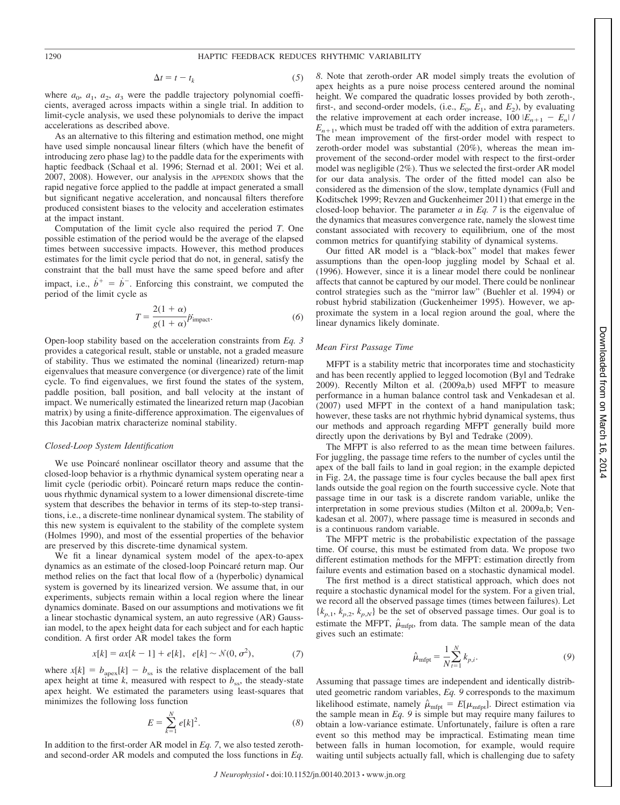## 1290 HAPTIC FEEDBACK REDUCES RHYTHMIC VARIABILITY

$$
\Delta t = t - t_k \tag{5}
$$

where  $a_0$ ,  $a_1$ ,  $a_2$ ,  $a_3$  were the paddle trajectory polynomial coefficients, averaged across impacts within a single trial. In addition to limit-cycle analysis, we used these polynomials to derive the impact accelerations as described above.

As an alternative to this filtering and estimation method, one might have used simple noncausal linear filters (which have the benefit of introducing zero phase lag) to the paddle data for the experiments with haptic feedback (Schaal et al. 1996; Sternad et al. 2001; Wei et al. 2007, 2008). However, our analysis in the APPENDIX shows that the rapid negative force applied to the paddle at impact generated a small but significant negative acceleration, and noncausal filters therefore produced consistent biases to the velocity and acceleration estimates at the impact instant.

Computation of the limit cycle also required the period *T*. One possible estimation of the period would be the average of the elapsed times between successive impacts. However, this method produces estimates for the limit cycle period that do not, in general, satisfy the constraint that the ball must have the same speed before and after impact, i.e.,  $\dot{b}^+ = \dot{b}^-$ . Enforcing this constraint, we computed the period of the limit cycle as

$$
T = \frac{2(1+\alpha)}{g(1+\alpha)} \ddot{p}_{\text{impact}}.
$$
 (6)

Open-loop stability based on the acceleration constraints from *Eq. 3* provides a categorical result, stable or unstable, not a graded measure of stability. Thus we estimated the nominal (linearized) return-map eigenvalues that measure convergence (or divergence) rate of the limit cycle. To find eigenvalues, we first found the states of the system, paddle position, ball position, and ball velocity at the instant of impact. We numerically estimated the linearized return map (Jacobian matrix) by using a finite-difference approximation. The eigenvalues of this Jacobian matrix characterize nominal stability.

#### *Closed-Loop System Identification*

We use Poincaré nonlinear oscillator theory and assume that the closed-loop behavior is a rhythmic dynamical system operating near a limit cycle (periodic orbit). Poincaré return maps reduce the continuous rhythmic dynamical system to a lower dimensional discrete-time system that describes the behavior in terms of its step-to-step transitions, i.e., a discrete-time nonlinear dynamical system. The stability of this new system is equivalent to the stability of the complete system (Holmes 1990), and most of the essential properties of the behavior are preserved by this discrete-time dynamical system.

We fit a linear dynamical system model of the apex-to-apex dynamics as an estimate of the closed-loop Poincaré return map. Our method relies on the fact that local flow of a (hyperbolic) dynamical system is governed by its linearized version. We assume that, in our experiments, subjects remain within a local region where the linear dynamics dominate. Based on our assumptions and motivations we fit a linear stochastic dynamical system, an auto regressive (AR) Gaussian model, to the apex height data for each subject and for each haptic condition. A first order AR model takes the form

$$
x[k] = ax[k-1] + e[k], e[k] \sim \mathcal{N}(0, \sigma^2),
$$
 (7)

where  $x[k] = b_{\text{apex}}[k] - b_{\text{ss}}$  is the relative displacement of the ball apex height at time  $k$ , measured with respect to  $b_{ss}$ , the steady-state apex height. We estimated the parameters using least-squares that minimizes the following loss function

$$
E = \sum_{k=1}^{N} e[k]^2.
$$
 (8)

In addition to the first-order AR model in *Eq. 7*, we also tested zerothand second-order AR models and computed the loss functions in *Eq.*

*8*. Note that zeroth-order AR model simply treats the evolution of apex heights as a pure noise process centered around the nominal height. We compared the quadratic losses provided by both zeroth-, first-, and second-order models, (i.e.,  $E_0$ ,  $E_1$ , and  $E_2$ ), by evaluating the relative improvement at each order increase,  $100 |E_{n+1} - E_n|$  $E_{n+1}$ , which must be traded off with the addition of extra parameters. The mean improvement of the first-order model with respect to zeroth-order model was substantial (20%), whereas the mean improvement of the second-order model with respect to the first-order model was negligible (2%). Thus we selected the first-order AR model for our data analysis. The order of the fitted model can also be considered as the dimension of the slow, template dynamics (Full and Koditschek 1999; Revzen and Guckenheimer 2011) that emerge in the closed-loop behavior. The parameter *a* in *Eq. 7* is the eigenvalue of the dynamics that measures convergence rate, namely the slowest time constant associated with recovery to equilibrium, one of the most common metrics for quantifying stability of dynamical systems.

Our fitted AR model is a "black-box" model that makes fewer assumptions than the open-loop juggling model by Schaal et al. (1996). However, since it is a linear model there could be nonlinear affects that cannot be captured by our model. There could be nonlinear control strategies such as the "mirror law" (Buehler et al. 1994) or robust hybrid stabilization (Guckenheimer 1995). However, we approximate the system in a local region around the goal, where the linear dynamics likely dominate.

#### *Mean First Passage Time*

MFPT is a stability metric that incorporates time and stochasticity and has been recently applied to legged locomotion (Byl and Tedrake 2009). Recently Milton et al. (2009a,b) used MFPT to measure performance in a human balance control task and Venkadesan et al. (2007) used MFPT in the context of a hand manipulation task; however, these tasks are not rhythmic hybrid dynamical systems, thus our methods and approach regarding MFPT generally build more directly upon the derivations by Byl and Tedrake (2009).

The MFPT is also referred to as the mean time between failures. For juggling, the passage time refers to the number of cycles until the apex of the ball fails to land in goal region; in the example depicted in Fig. 2*A*, the passage time is four cycles because the ball apex first lands outside the goal region on the fourth successive cycle. Note that passage time in our task is a discrete random variable, unlike the interpretation in some previous studies (Milton et al. 2009a,b; Venkadesan et al. 2007), where passage time is measured in seconds and is a continuous random variable.

The MFPT metric is the probabilistic expectation of the passage time. Of course, this must be estimated from data. We propose two different estimation methods for the MFPT: estimation directly from failure events and estimation based on a stochastic dynamical model.

The first method is a direct statistical approach, which does not require a stochastic dynamical model for the system. For a given trial, we record all the observed passage times (times between failures). Let  ${k_{p,1}, k_{p,2}, k_{p,N}}$  be the set of observed passage times. Our goal is to estimate the MFPT,  $\hat{\mu}_{\text{mfpt}}$ , from data. The sample mean of the data gives such an estimate:

$$
\hat{\mu}_{\text{mfpt}} = \frac{1}{N} \sum_{i=1}^{N} k_{p,i}.
$$
\n(9)

Assuming that passage times are independent and identically distributed geometric random variables, *Eq. 9* corresponds to the maximum likelihood estimate, namely  $\hat{\mu}_{m fpt} = E[\mu_{m fpt}]$ . Direct estimation via the sample mean in *Eq. 9* is simple but may require many failures to obtain a low-variance estimate. Unfortunately, failure is often a rare event so this method may be impractical. Estimating mean time between falls in human locomotion, for example, would require waiting until subjects actually fall, which is challenging due to safety

Downloaded from on March

 $\vec{e}$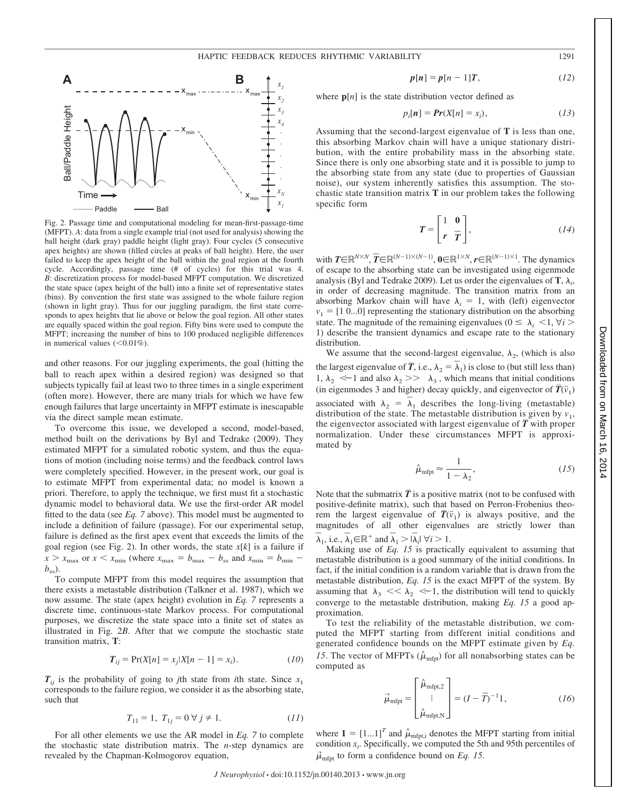

Fig. 2. Passage time and computational modeling for mean-first-passage-time (MFPT). *A*: data from a single example trial (not used for analysis) showing the ball height (dark gray) paddle height (light gray). Four cycles (5 consecutive apex heights) are shown (filled circles at peaks of ball height). Here, the user failed to keep the apex height of the ball within the goal region at the fourth cycle. Accordingly, passage time (# of cycles) for this trial was 4. *B*: discretization process for model-based MFPT computation. We discretized the state space (apex height of the ball) into a finite set of representative states (bins). By convention the first state was assigned to the whole failure region (shown in light gray). Thus for our juggling paradigm, the first state corresponds to apex heights that lie above or below the goal region. All other states are equally spaced within the goal region. Fifty bins were used to compute the MFPT; increasing the number of bins to 100 produced negligible differences in numerical values  $\left($  < 0.01%).

and other reasons. For our juggling experiments, the goal (hitting the ball to reach apex within a desired region) was designed so that subjects typically fail at least two to three times in a single experiment (often more). However, there are many trials for which we have few enough failures that large uncertainty in MFPT estimate is inescapable via the direct sample mean estimate.

To overcome this issue, we developed a second, model-based, method built on the derivations by Byl and Tedrake (2009). They estimated MFPT for a simulated robotic system, and thus the equations of motion (including noise terms) and the feedback control laws were completely specified. However, in the present work, our goal is to estimate MFPT from experimental data; no model is known a priori. Therefore, to apply the technique, we first must fit a stochastic dynamic model to behavioral data. We use the first-order AR model fitted to the data (see *Eq. 7* above). This model must be augmented to include a definition of failure (passage). For our experimental setup, failure is defined as the first apex event that exceeds the limits of the goal region (see Fig. 2). In other words, the state *x*[*k*] is a failure if  $x > x_{\text{max}}$  or  $x < x_{\text{min}}$  (where  $x_{\text{max}} = b_{\text{max}} - b_{\text{ss}}$  and  $x_{\text{min}} = b_{\text{min}} - b_{\text{min}}$  $b_{ss}$ ).

To compute MFPT from this model requires the assumption that there exists a metastable distribution (Talkner et al. 1987), which we now assume. The state (apex height) evolution in *Eq. 7* represents a discrete time, continuous-state Markov process. For computational purposes, we discretize the state space into a finite set of states as illustrated in Fig. 2*B*. After that we compute the stochastic state transition matrix, **T**:

$$
T_{ij} = \Pr(X[n] = x_j | X[n-1] = x_i).
$$
 (10)

 $T_{ij}$  is the probability of going to *j*th state from *i*th state. Since  $x_1$ corresponds to the failure region, we consider it as the absorbing state, such that

$$
T_{11} = 1, T_{1j} = 0 \,\forall \, j \neq 1. \tag{11}
$$

For all other elements we use the AR model in *Eq. 7* to complete the stochastic state distribution matrix. The *n*-step dynamics are revealed by the Chapman-Kolmogorov equation,

$$
p[n] = p[n-1]T, \qquad (12)
$$

where  $p[n]$  is the state distribution vector defined as

$$
p_i[n] = \Pr(X[n] = x_i),\tag{13}
$$

Assuming that the second-largest eigenvalue of **T** is less than one, this absorbing Markov chain will have a unique stationary distribution, with the entire probability mass in the absorbing state. Since there is only one absorbing state and it is possible to jump to the absorbing state from any state (due to properties of Gaussian noise), our system inherently satisfies this assumption. The stochastic state transition matrix **T** in our problem takes the following specific form

$$
T = \begin{bmatrix} 1 & 0 \\ r & \overline{T} \end{bmatrix},\tag{14}
$$

with  $T \in \mathbb{R}^{N \times N}$ ,  $\overline{T} \in \mathbb{R}^{(N-1) \times (N-1)}$ ,  $0 \in \mathbb{R}^{1 \times N}$ ,  $r \in \mathbb{R}^{(N-1) \times 1}$ . The dynamics of escape to the absorbing state can be investigated using eigenmode analysis (Byl and Tedrake 2009). Let us order the eigenvalues of  $\mathbf{T}$ ,  $\lambda_i$ , in order of decreasing magnitude. The transition matrix from an absorbing Markov chain will have  $\lambda_i = 1$ , with (left) eigenvector  $v_1$  = [1 0...0] representing the stationary distribution on the absorbing state. The magnitude of the remaining eigenvalues ( $0 \leq \lambda_i$ ,  $\forall i$ ) 1) describe the transient dynamics and escape rate to the stationary distribution.

We assume that the second-largest eigenvalue,  $\lambda_2$ , (which is also the largest eigenvalue of  $\overline{T}$ , i.e.,  $\lambda_2 = \overline{\lambda_1}$ ) is close to (but still less than) 1,  $\lambda_2 \leq 1$  and also  $\lambda_2 >> \lambda_3$ , which means that initial conditions (in eigenmodes 3 and higher) decay quickly, and eigenvector of  $\overline{T}(\bar{v}_1)$ associated with  $\lambda_2 = \overline{\lambda}_1$  describes the long-living (metastable) distribution of the state. The metastable distribution is given by  $v_1$ , the eigenvector associated with largest eigenvalue of  $\overline{T}$  with proper normalization. Under these circumstances MFPT is approximated by

$$
\hat{\mu}_{\text{mfpt}} \approx \frac{1}{1 - \lambda_2},\tag{15}
$$

Note that the submatrix  $\bar{T}$  is a positive matrix (not to be confused with positive-definite matrix), such that based on Perron-Frobenius theorem the largest eigenvalue of  $\overline{T}(\overline{v}_1)$  is always positive, and the magnitudes of all other eigenvalues are strictly lower than  $\overline{\lambda}_1$ , i.e.,  $\overline{\lambda}_1 \in \mathbb{R}^+$  and  $\overline{\lambda}_1 > |\overline{\lambda}_i|$   $\forall i > 1$ .

Making use of *Eq. 15* is practically equivalent to assuming that metastable distribution is a good summary of the initial conditions. In fact, if the initial condition is a random variable that is drawn from the metastable distribution, *Eq. 15* is the exact MFPT of the system. By assuming that  $\lambda_3 \ll \lambda_2 \ll 1$ , the distribution will tend to quickly converge to the metastable distribution, making *Eq. 15* a good approximation.

To test the reliability of the metastable distribution, we computed the MFPT starting from different initial conditions and generated confidence bounds on the MFPT estimate given by *Eq.* 15. The vector of MFPTs ( $\hat{\mu}_{mfpt}$ ) for all nonabsorbing states can be computed as

$$
\vec{\mu}_{\text{mfpt}} = \begin{bmatrix} \hat{\mu}_{\text{mfpt},2} \\ \vdots \\ \hat{\mu}_{\text{mfpt},N} \end{bmatrix} = (I - \overline{T})^{-1}1, \qquad (16)
$$

where  $\mathbf{1} = [1...1]^T$  and  $\hat{\mu}_{mfpt,i}$  denotes the MFPT starting from initial condition  $x_i$ . Specifically, we computed the 5th and 95th percentiles of  $\vec{\mu}_{\text{mfpt}}$  to form a confidence bound on *Eq. 15*.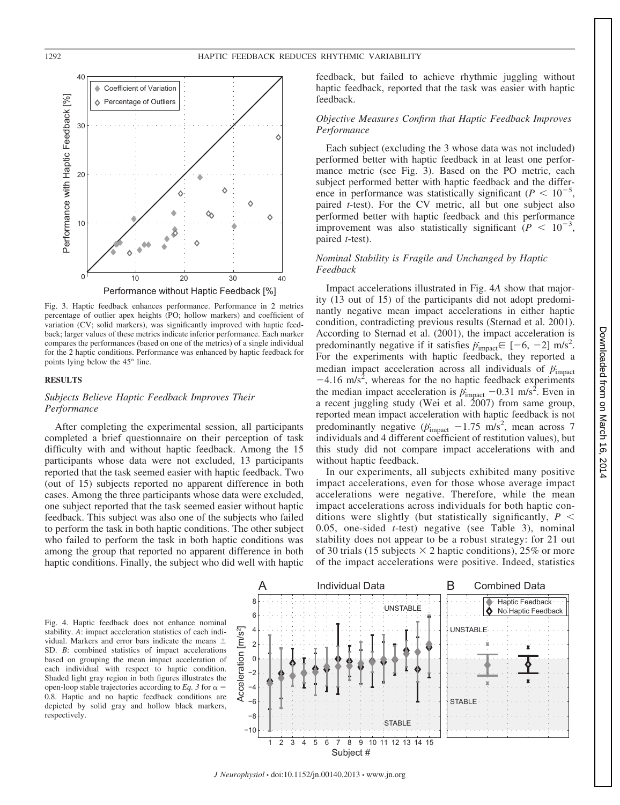

Fig. 3. Haptic feedback enhances performance. Performance in 2 metrics percentage of outlier apex heights (PO; hollow markers) and coefficient of variation (CV; solid markers), was significantly improved with haptic feedback; larger values of these metrics indicate inferior performance. Each marker compares the performances (based on one of the metrics) of a single individual for the 2 haptic conditions. Performance was enhanced by haptic feedback for points lying below the 45° line.

## **RESULTS**

# *Subjects Believe Haptic Feedback Improves Their Performance*

After completing the experimental session, all participants completed a brief questionnaire on their perception of task difficulty with and without haptic feedback. Among the 15 participants whose data were not excluded, 13 participants reported that the task seemed easier with haptic feedback. Two (out of 15) subjects reported no apparent difference in both cases. Among the three participants whose data were excluded, one subject reported that the task seemed easier without haptic feedback. This subject was also one of the subjects who failed to perform the task in both haptic conditions. The other subject who failed to perform the task in both haptic conditions was among the group that reported no apparent difference in both haptic conditions. Finally, the subject who did well with haptic

feedback, but failed to achieve rhythmic juggling without haptic feedback, reported that the task was easier with haptic feedback.

# *Objective Measures Confirm that Haptic Feedback Improves Performance*

Each subject (excluding the 3 whose data was not included) performed better with haptic feedback in at least one performance metric (see Fig. 3). Based on the PO metric, each subject performed better with haptic feedback and the difference in performance was statistically significant ( $P < 10^{-5}$ , paired *t*-test). For the CV metric, all but one subject also performed better with haptic feedback and this performance improvement was also statistically significant  $(P < 10^{-3})$ , paired *t*-test).

# *Nominal Stability is Fragile and Unchanged by Haptic Feedback*

Impact accelerations illustrated in Fig. 4*A* show that majority (13 out of 15) of the participants did not adopt predominantly negative mean impact accelerations in either haptic condition, contradicting previous results (Sternad et al. 2001). According to Sternad et al. (2001), the impact acceleration is predominantly negative if it satisfies  $\ddot{p}_{\text{impact}} \in [-6, -2] \text{ m/s}^2$ . For the experiments with haptic feedback, they reported a median impact acceleration across all individuals of  $\ddot{p}_{\text{impact}}$  $-4.16$  m/s<sup>2</sup>, whereas for the no haptic feedback experiments the median impact acceleration is  $\ddot{p}_{\text{impact}} = 0.31 \text{ m/s}^2$ . Even in a recent juggling study (Wei et al. 2007) from same group, reported mean impact acceleration with haptic feedback is not predominantly negative  $(\vec{p}_{\text{impact}} - 1.75 \text{ m/s}^2)$ , mean across 7 individuals and 4 different coefficient of restitution values), but this study did not compare impact accelerations with and without haptic feedback.

In our experiments, all subjects exhibited many positive impact accelerations, even for those whose average impact accelerations were negative. Therefore, while the mean impact accelerations across individuals for both haptic conditions were slightly (but statistically significantly,  $P \n\leq$ 0.05, one-sided *t*-test) negative (see Table 3), nominal stability does not appear to be a robust strategy: for 21 out of 30 trials (15 subjects  $\times$  2 haptic conditions), 25% or more of the impact accelerations were positive. Indeed, statistics

Fig. 4. Haptic feedback does not enhance nominal stability. *A*: impact acceleration statistics of each individual. Markers and error bars indicate the means  $\pm$ SD. *B*: combined statistics of impact accelerations based on grouping the mean impact acceleration of each individual with respect to haptic condition. Shaded light gray region in both figures illustrates the open-loop stable trajectories according to *Eq.* 3 for  $\alpha$  = 0.8. Haptic and no haptic feedback conditions are depicted by solid gray and hollow black markers, respectively.



*J Neurophysiol* • doi:10.1152/jn.00140.2013 • www.jn.org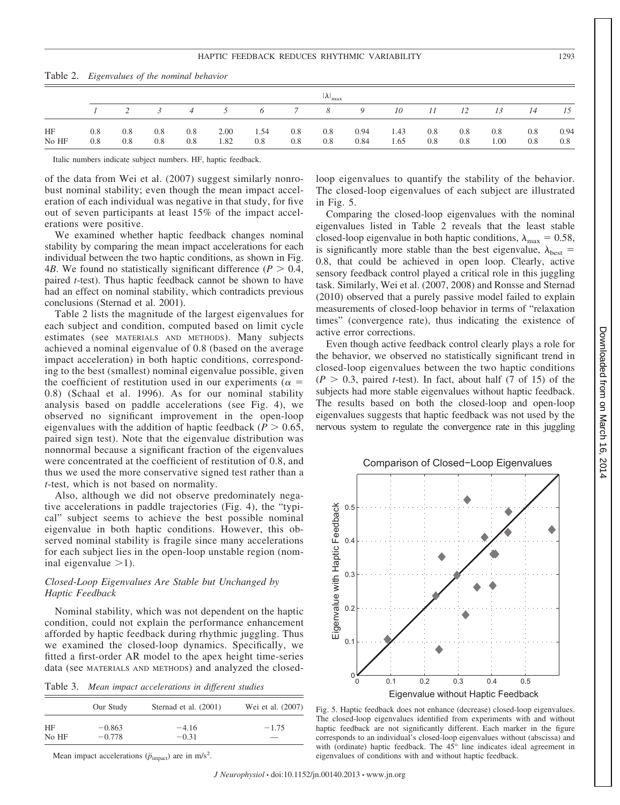|             | $ \lambda _{\max}$ |            |               |                |              |             |            |            |              |              |            |            |             |            |             |
|-------------|--------------------|------------|---------------|----------------|--------------|-------------|------------|------------|--------------|--------------|------------|------------|-------------|------------|-------------|
|             |                    |            | $\mathcal{R}$ | $\overline{4}$ | $\sim$ 5     | 6           | 7          | 8          | 9            | 10           | 11         | 12         | 13          | 14         | 15          |
| HF<br>No HF | 0.8<br>0.8         | 0.8<br>0.8 | 0.8<br>0.8    | 0.8<br>0.8     | 2.00<br>1.82 | 1.54<br>0.8 | 0.8<br>0.8 | 0.8<br>0.8 | 0.94<br>0.84 | 1.43<br>1.65 | 0.8<br>0.8 | 0.8<br>0.8 | 0.8<br>1.00 | 0.8<br>0.8 | 0.94<br>0.8 |

Table 2. *Eigenvalues of the nominal behavior*

Italic numbers indicate subject numbers. HF, haptic feedback.

of the data from Wei et al. (2007) suggest similarly nonrobust nominal stability; even though the mean impact acceleration of each individual was negative in that study, for five out of seven participants at least 15% of the impact accelerations were positive.

We examined whether haptic feedback changes nominal stability by comparing the mean impact accelerations for each individual between the two haptic conditions, as shown in Fig. 4*B*. We found no statistically significant difference ( $P > 0.4$ , paired *t*-test). Thus haptic feedback cannot be shown to have had an effect on nominal stability, which contradicts previous conclusions (Sternad et al. 2001).

Table 2 lists the magnitude of the largest eigenvalues for each subject and condition, computed based on limit cycle estimates (see MATERIALS AND METHODS). Many subjects achieved a nominal eigenvalue of 0.8 (based on the average impact acceleration) in both haptic conditions, corresponding to the best (smallest) nominal eigenvalue possible, given the coefficient of restitution used in our experiments ( $\alpha$  = 0.8) (Schaal et al. 1996). As for our nominal stability analysis based on paddle accelerations (see Fig. 4), we observed no significant improvement in the open-loop eigenvalues with the addition of haptic feedback ( $P > 0.65$ , paired sign test). Note that the eigenvalue distribution was nonnormal because a significant fraction of the eigenvalues were concentrated at the coefficient of restitution of 0.8, and thus we used the more conservative signed test rather than a *t*-test, which is not based on normality.

Also, although we did not observe predominately negative accelerations in paddle trajectories (Fig. 4), the "typical" subject seems to achieve the best possible nominal eigenvalue in both haptic conditions. However, this observed nominal stability is fragile since many accelerations for each subject lies in the open-loop unstable region (nominal eigenvalue  $>1$ ).

## *Closed-Loop Eigenvalues Are Stable but Unchanged by Haptic Feedback*

Nominal stability, which was not dependent on the haptic condition, could not explain the performance enhancement afforded by haptic feedback during rhythmic juggling. Thus we examined the closed-loop dynamics. Specifically, we fitted a first-order AR model to the apex height time-series data (see MATERIALS AND METHODS) and analyzed the closed-

Table 3. *Mean impact accelerations in different studies*

|       | Our Study | Sternad et al. (2001) | Wei et al. (2007)        |
|-------|-----------|-----------------------|--------------------------|
| HF    | $-0.863$  | $-4.16$               | $-1.75$                  |
| No HF | $-0.778$  | $-0.31$               | $\overline{\phantom{a}}$ |

Mean impact accelerations  $(\ddot{p}_{\text{impact}})$  are in m/s<sup>2</sup>.

loop eigenvalues to quantify the stability of the behavior. The closed-loop eigenvalues of each subject are illustrated in Fig. 5.

Comparing the closed-loop eigenvalues with the nominal eigenvalues listed in Table 2 reveals that the least stable closed-loop eigenvalue in both haptic conditions,  $\lambda_{\text{max}} = 0.58$ , is significantly more stable than the best eigenvalue,  $\lambda_{best}$  = 0.8, that could be achieved in open loop. Clearly, active sensory feedback control played a critical role in this juggling task. Similarly, Wei et al. (2007, 2008) and Ronsse and Sternad (2010) observed that a purely passive model failed to explain measurements of closed-loop behavior in terms of "relaxation times" (convergence rate), thus indicating the existence of active error corrections.

Even though active feedback control clearly plays a role for the behavior, we observed no statistically significant trend in closed-loop eigenvalues between the two haptic conditions  $(P > 0.3$ , paired *t*-test). In fact, about half (7 of 15) of the subjects had more stable eigenvalues without haptic feedback. The results based on both the closed-loop and open-loop eigenvalues suggests that haptic feedback was not used by the nervous system to regulate the convergence rate in this juggling



Fig. 5. Haptic feedback does not enhance (decrease) closed-loop eigenvalues. The closed-loop eigenvalues identified from experiments with and without haptic feedback are not significantly different. Each marker in the figure corresponds to an individual's closed-loop eigenvalues without (abscissa) and with (ordinate) haptic feedback. The 45° line indicates ideal agreement in eigenvalues of conditions with and without haptic feedback.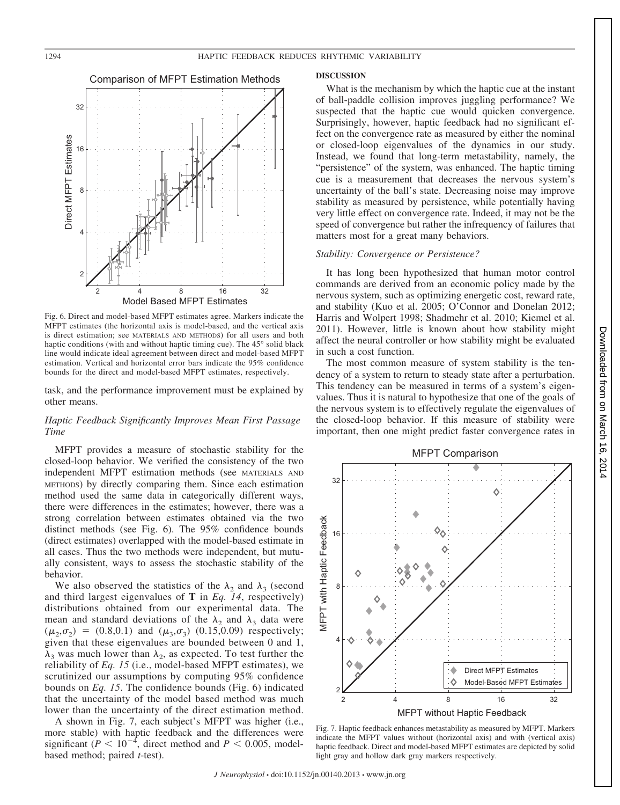

Fig. 6. Direct and model-based MFPT estimates agree. Markers indicate the MFPT estimates (the horizontal axis is model-based, and the vertical axis is direct estimation; see MATERIALS AND METHODS) for all users and both haptic conditions (with and without haptic timing cue). The 45° solid black line would indicate ideal agreement between direct and model-based MFPT estimation. Vertical and horizontal error bars indicate the 95% confidence bounds for the direct and model-based MFPT estimates, respectively.

task, and the performance improvement must be explained by other means.

## *Haptic Feedback Significantly Improves Mean First Passage Time*

MFPT provides a measure of stochastic stability for the closed-loop behavior. We verified the consistency of the two independent MFPT estimation methods (see MATERIALS AND METHODS) by directly comparing them. Since each estimation method used the same data in categorically different ways, there were differences in the estimates; however, there was a strong correlation between estimates obtained via the two distinct methods (see Fig. 6). The 95% confidence bounds (direct estimates) overlapped with the model-based estimate in all cases. Thus the two methods were independent, but mutually consistent, ways to assess the stochastic stability of the behavior.

We also observed the statistics of the  $\lambda_2$  and  $\lambda_3$  (second and third largest eigenvalues of **T** in *Eq. 14*, respectively) distributions obtained from our experimental data. The mean and standard deviations of the  $\lambda_2$  and  $\lambda_3$  data were  $(\mu_2, \sigma_2) = (0.8, 0.1)$  and  $(\mu_3, \sigma_3)$  (0.15,0.09) respectively; given that these eigenvalues are bounded between 0 and 1,  $\lambda_3$  was much lower than  $\lambda_2$ , as expected. To test further the reliability of *Eq. 15* (i.e., model-based MFPT estimates), we scrutinized our assumptions by computing 95% confidence bounds on *Eq. 15*. The confidence bounds (Fig. 6) indicated that the uncertainty of the model based method was much lower than the uncertainty of the direct estimation method.

A shown in Fig. 7, each subject's MFPT was higher (i.e., more stable) with haptic feedback and the differences were significant ( $P < 10^{-4}$ , direct method and  $P < 0.005$ , modelbased method; paired *t*-test).

#### **DISCUSSION**

What is the mechanism by which the haptic cue at the instant of ball-paddle collision improves juggling performance? We suspected that the haptic cue would quicken convergence. Surprisingly, however, haptic feedback had no significant effect on the convergence rate as measured by either the nominal or closed-loop eigenvalues of the dynamics in our study. Instead, we found that long-term metastability, namely, the "persistence" of the system, was enhanced. The haptic timing cue is a measurement that decreases the nervous system's uncertainty of the ball's state. Decreasing noise may improve stability as measured by persistence, while potentially having very little effect on convergence rate. Indeed, it may not be the speed of convergence but rather the infrequency of failures that matters most for a great many behaviors.

## *Stability: Convergence or Persistence?*

It has long been hypothesized that human motor control commands are derived from an economic policy made by the nervous system, such as optimizing energetic cost, reward rate, and stability (Kuo et al. 2005; O'Connor and Donelan 2012; Harris and Wolpert 1998; Shadmehr et al. 2010; Kiemel et al. 2011). However, little is known about how stability might affect the neural controller or how stability might be evaluated in such a cost function.

The most common measure of system stability is the tendency of a system to return to steady state after a perturbation. This tendency can be measured in terms of a system's eigenvalues. Thus it is natural to hypothesize that one of the goals of the nervous system is to effectively regulate the eigenvalues of the closed-loop behavior. If this measure of stability were important, then one might predict faster convergence rates in



Fig. 7. Haptic feedback enhances metastability as measured by MFPT. Markers indicate the MFPT values without (horizontal axis) and with (vertical axis) haptic feedback. Direct and model-based MFPT estimates are depicted by solid light gray and hollow dark gray markers respectively.

Downloaded from on March

 $\vec{e}$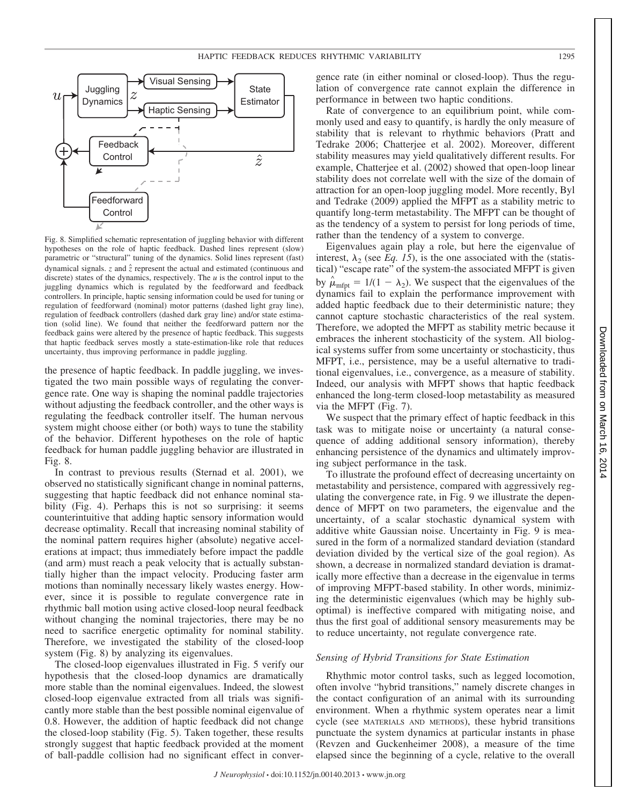

Fig. 8. Simplified schematic representation of juggling behavior with different hypotheses on the role of haptic feedback. Dashed lines represent (slow) parametric or "structural" tuning of the dynamics. Solid lines represent (fast) dynamical signals. *z* and  $\hat{z}$  represent the actual and estimated (continuous and discrete) states of the dynamics, respectively. The *u* is the control input to the juggling dynamics which is regulated by the feedforward and feedback controllers. In principle, haptic sensing information could be used for tuning or regulation of feedforward (nominal) motor patterns (dashed light gray line), regulation of feedback controllers (dashed dark gray line) and/or state estimation (solid line). We found that neither the feedforward pattern nor the feedback gains were altered by the presence of haptic feedback. This suggests that haptic feedback serves mostly a state-estimation-like role that reduces uncertainty, thus improving performance in paddle juggling.

the presence of haptic feedback. In paddle juggling, we investigated the two main possible ways of regulating the convergence rate. One way is shaping the nominal paddle trajectories without adjusting the feedback controller, and the other ways is regulating the feedback controller itself. The human nervous system might choose either (or both) ways to tune the stability of the behavior. Different hypotheses on the role of haptic feedback for human paddle juggling behavior are illustrated in Fig. 8.

In contrast to previous results (Sternad et al. 2001), we observed no statistically significant change in nominal patterns, suggesting that haptic feedback did not enhance nominal stability (Fig. 4). Perhaps this is not so surprising: it seems counterintuitive that adding haptic sensory information would decrease optimality. Recall that increasing nominal stability of the nominal pattern requires higher (absolute) negative accelerations at impact; thus immediately before impact the paddle (and arm) must reach a peak velocity that is actually substantially higher than the impact velocity. Producing faster arm motions than nominally necessary likely wastes energy. However, since it is possible to regulate convergence rate in rhythmic ball motion using active closed-loop neural feedback without changing the nominal trajectories, there may be no need to sacrifice energetic optimality for nominal stability. Therefore, we investigated the stability of the closed-loop system (Fig. 8) by analyzing its eigenvalues.

The closed-loop eigenvalues illustrated in Fig. 5 verify our hypothesis that the closed-loop dynamics are dramatically more stable than the nominal eigenvalues. Indeed, the slowest closed-loop eigenvalue extracted from all trials was significantly more stable than the best possible nominal eigenvalue of 0.8. However, the addition of haptic feedback did not change the closed-loop stability (Fig. 5). Taken together, these results strongly suggest that haptic feedback provided at the moment of ball-paddle collision had no significant effect in convergence rate (in either nominal or closed-loop). Thus the regulation of convergence rate cannot explain the difference in performance in between two haptic conditions.

Rate of convergence to an equilibrium point, while commonly used and easy to quantify, is hardly the only measure of stability that is relevant to rhythmic behaviors (Pratt and Tedrake 2006; Chatterjee et al. 2002). Moreover, different stability measures may yield qualitatively different results. For example, Chatterjee et al. (2002) showed that open-loop linear stability does not correlate well with the size of the domain of attraction for an open-loop juggling model. More recently, Byl and Tedrake (2009) applied the MFPT as a stability metric to quantify long-term metastability. The MFPT can be thought of as the tendency of a system to persist for long periods of time, rather than the tendency of a system to converge.

Eigenvalues again play a role, but here the eigenvalue of interest,  $\lambda_2$  (see *Eq. 15*), is the one associated with the (statistical) "escape rate" of the system-the associated MFPT is given by  $\hat{\mu}_{\text{mfpt}} = 1/(1 - \lambda_2)$ . We suspect that the eigenvalues of the dynamics fail to explain the performance improvement with added haptic feedback due to their deterministic nature; they cannot capture stochastic characteristics of the real system. Therefore, we adopted the MFPT as stability metric because it embraces the inherent stochasticity of the system. All biological systems suffer from some uncertainty or stochasticity, thus MFPT, i.e., persistence, may be a useful alternative to traditional eigenvalues, i.e., convergence, as a measure of stability. Indeed, our analysis with MFPT shows that haptic feedback enhanced the long-term closed-loop metastability as measured via the MFPT (Fig. 7).

We suspect that the primary effect of haptic feedback in this task was to mitigate noise or uncertainty (a natural consequence of adding additional sensory information), thereby enhancing persistence of the dynamics and ultimately improving subject performance in the task.

To illustrate the profound effect of decreasing uncertainty on metastability and persistence, compared with aggressively regulating the convergence rate, in Fig. 9 we illustrate the dependence of MFPT on two parameters, the eigenvalue and the uncertainty, of a scalar stochastic dynamical system with additive white Gaussian noise. Uncertainty in Fig. 9 is measured in the form of a normalized standard deviation (standard deviation divided by the vertical size of the goal region). As shown, a decrease in normalized standard deviation is dramatically more effective than a decrease in the eigenvalue in terms of improving MFPT-based stability. In other words, minimizing the deterministic eigenvalues (which may be highly suboptimal) is ineffective compared with mitigating noise, and thus the first goal of additional sensory measurements may be to reduce uncertainty, not regulate convergence rate.

## *Sensing of Hybrid Transitions for State Estimation*

Rhythmic motor control tasks, such as legged locomotion, often involve "hybrid transitions," namely discrete changes in the contact configuration of an animal with its surrounding environment. When a rhythmic system operates near a limit cycle (see MATERIALS AND METHODS), these hybrid transitions punctuate the system dynamics at particular instants in phase (Revzen and Guckenheimer 2008), a measure of the time elapsed since the beginning of a cycle, relative to the overall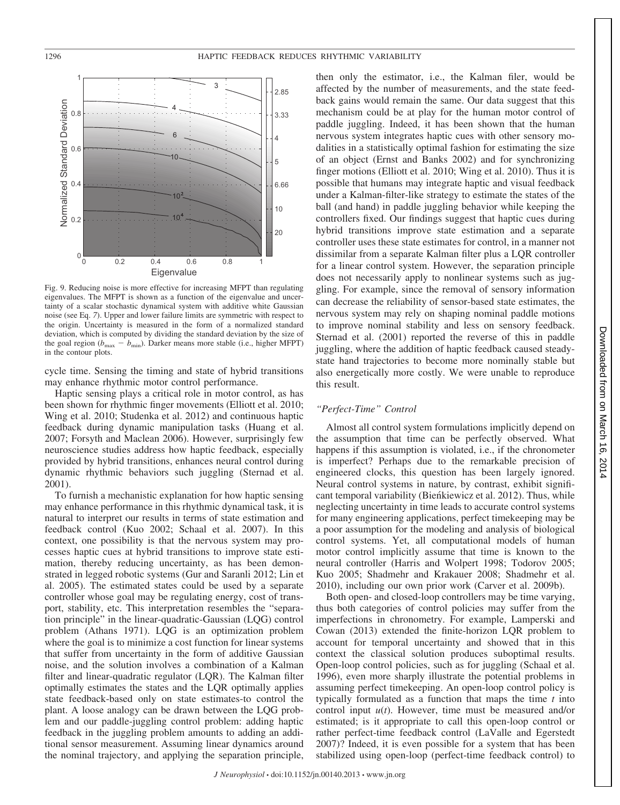

Fig. 9. Reducing noise is more effective for increasing MFPT than regulating eigenvalues. The MFPT is shown as a function of the eigenvalue and uncertainty of a scalar stochastic dynamical system with additive white Gaussian noise (see Eq. *7*). Upper and lower failure limits are symmetric with respect to the origin. Uncertainty is measured in the form of a normalized standard deviation, which is computed by dividing the standard deviation by the size of the goal region ( $b_{\text{max}} - b_{\text{min}}$ ). Darker means more stable (i.e., higher MFPT) in the contour plots.

cycle time. Sensing the timing and state of hybrid transitions may enhance rhythmic motor control performance.

Haptic sensing plays a critical role in motor control, as has been shown for rhythmic finger movements (Elliott et al. 2010; Wing et al. 2010; Studenka et al. 2012) and continuous haptic feedback during dynamic manipulation tasks (Huang et al. 2007; Forsyth and Maclean 2006). However, surprisingly few neuroscience studies address how haptic feedback, especially provided by hybrid transitions, enhances neural control during dynamic rhythmic behaviors such juggling (Sternad et al. 2001).

To furnish a mechanistic explanation for how haptic sensing may enhance performance in this rhythmic dynamical task, it is natural to interpret our results in terms of state estimation and feedback control (Kuo 2002; Schaal et al. 2007). In this context, one possibility is that the nervous system may processes haptic cues at hybrid transitions to improve state estimation, thereby reducing uncertainty, as has been demonstrated in legged robotic systems (Gur and Saranli 2012; Lin et al. 2005). The estimated states could be used by a separate controller whose goal may be regulating energy, cost of transport, stability, etc. This interpretation resembles the "separation principle" in the linear-quadratic-Gaussian (LQG) control problem (Athans 1971). LQG is an optimization problem where the goal is to minimize a cost function for linear systems that suffer from uncertainty in the form of additive Gaussian noise, and the solution involves a combination of a Kalman filter and linear-quadratic regulator (LQR). The Kalman filter optimally estimates the states and the LQR optimally applies state feedback-based only on state estimates-to control the plant. A loose analogy can be drawn between the LQG problem and our paddle-juggling control problem: adding haptic feedback in the juggling problem amounts to adding an additional sensor measurement. Assuming linear dynamics around the nominal trajectory, and applying the separation principle,

then only the estimator, i.e., the Kalman filer, would be affected by the number of measurements, and the state feedback gains would remain the same. Our data suggest that this mechanism could be at play for the human motor control of paddle juggling. Indeed, it has been shown that the human nervous system integrates haptic cues with other sensory modalities in a statistically optimal fashion for estimating the size of an object (Ernst and Banks 2002) and for synchronizing finger motions (Elliott et al. 2010; Wing et al. 2010). Thus it is possible that humans may integrate haptic and visual feedback under a Kalman-filter-like strategy to estimate the states of the ball (and hand) in paddle juggling behavior while keeping the controllers fixed. Our findings suggest that haptic cues during hybrid transitions improve state estimation and a separate controller uses these state estimates for control, in a manner not dissimilar from a separate Kalman filter plus a LQR controller for a linear control system. However, the separation principle does not necessarily apply to nonlinear systems such as juggling. For example, since the removal of sensory information can decrease the reliability of sensor-based state estimates, the nervous system may rely on shaping nominal paddle motions to improve nominal stability and less on sensory feedback. Sternad et al. (2001) reported the reverse of this in paddle juggling, where the addition of haptic feedback caused steadystate hand trajectories to become more nominally stable but also energetically more costly. We were unable to reproduce this result.

## *"Perfect-Time" Control*

Almost all control system formulations implicitly depend on the assumption that time can be perfectly observed. What happens if this assumption is violated, i.e., if the chronometer is imperfect? Perhaps due to the remarkable precision of engineered clocks, this question has been largely ignored. Neural control systems in nature, by contrast, exhibit significant temporal variability (Bieńkiewicz et al. 2012). Thus, while neglecting uncertainty in time leads to accurate control systems for many engineering applications, perfect timekeeping may be a poor assumption for the modeling and analysis of biological control systems. Yet, all computational models of human motor control implicitly assume that time is known to the neural controller (Harris and Wolpert 1998; Todorov 2005; Kuo 2005; Shadmehr and Krakauer 2008; Shadmehr et al. 2010), including our own prior work (Carver et al. 2009b).

Both open- and closed-loop controllers may be time varying, thus both categories of control policies may suffer from the imperfections in chronometry. For example, Lamperski and Cowan (2013) extended the finite-horizon LQR problem to account for temporal uncertainty and showed that in this context the classical solution produces suboptimal results. Open-loop control policies, such as for juggling (Schaal et al. 1996), even more sharply illustrate the potential problems in assuming perfect timekeeping. An open-loop control policy is typically formulated as a function that maps the time *t* into control input *u*(*t*). However, time must be measured and/or estimated; is it appropriate to call this open-loop control or rather perfect-time feedback control (LaValle and Egerstedt 2007)? Indeed, it is even possible for a system that has been stabilized using open-loop (perfect-time feedback control) to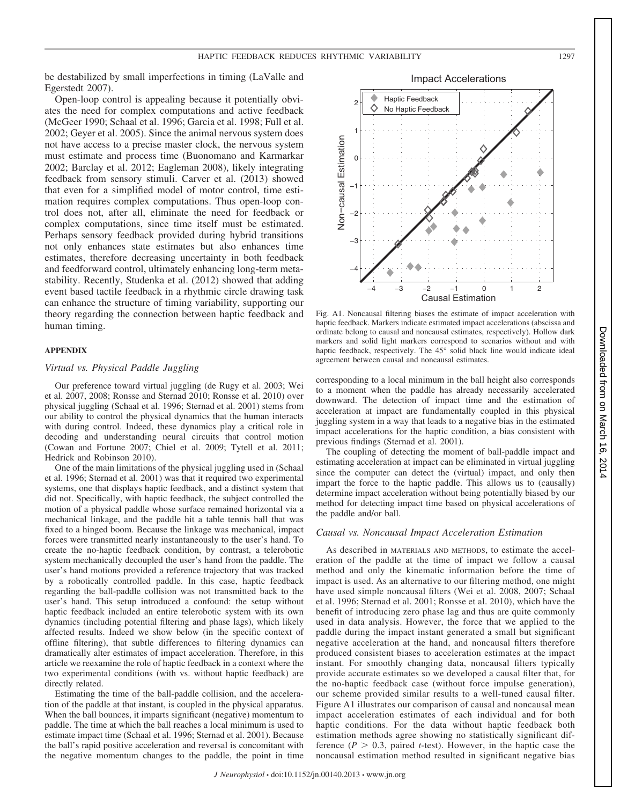be destabilized by small imperfections in timing (LaValle and Egerstedt 2007).

Open-loop control is appealing because it potentially obviates the need for complex computations and active feedback (McGeer 1990; Schaal et al. 1996; Garcia et al. 1998; Full et al. 2002; Geyer et al. 2005). Since the animal nervous system does not have access to a precise master clock, the nervous system must estimate and process time (Buonomano and Karmarkar 2002; Barclay et al. 2012; Eagleman 2008), likely integrating feedback from sensory stimuli. Carver et al. (2013) showed that even for a simplified model of motor control, time estimation requires complex computations. Thus open-loop control does not, after all, eliminate the need for feedback or complex computations, since time itself must be estimated. Perhaps sensory feedback provided during hybrid transitions not only enhances state estimates but also enhances time estimates, therefore decreasing uncertainty in both feedback and feedforward control, ultimately enhancing long-term metastability. Recently, Studenka et al. (2012) showed that adding event based tactile feedback in a rhythmic circle drawing task can enhance the structure of timing variability, supporting our theory regarding the connection between haptic feedback and human timing.

## **APPENDIX**

## *Virtual vs. Physical Paddle Juggling*

Our preference toward virtual juggling (de Rugy et al. 2003; Wei et al. 2007, 2008; Ronsse and Sternad 2010; Ronsse et al. 2010) over physical juggling (Schaal et al. 1996; Sternad et al. 2001) stems from our ability to control the physical dynamics that the human interacts with during control. Indeed, these dynamics play a critical role in decoding and understanding neural circuits that control motion (Cowan and Fortune 2007; Chiel et al. 2009; Tytell et al. 2011; Hedrick and Robinson 2010).

One of the main limitations of the physical juggling used in (Schaal et al. 1996; Sternad et al. 2001) was that it required two experimental systems, one that displays haptic feedback, and a distinct system that did not. Specifically, with haptic feedback, the subject controlled the motion of a physical paddle whose surface remained horizontal via a mechanical linkage, and the paddle hit a table tennis ball that was fixed to a hinged boom. Because the linkage was mechanical, impact forces were transmitted nearly instantaneously to the user's hand. To create the no-haptic feedback condition, by contrast, a telerobotic system mechanically decoupled the user's hand from the paddle. The user's hand motions provided a reference trajectory that was tracked by a robotically controlled paddle. In this case, haptic feedback regarding the ball-paddle collision was not transmitted back to the user's hand. This setup introduced a confound: the setup without haptic feedback included an entire telerobotic system with its own dynamics (including potential filtering and phase lags), which likely affected results. Indeed we show below (in the specific context of offline filtering), that subtle differences to filtering dynamics can dramatically alter estimates of impact acceleration. Therefore, in this article we reexamine the role of haptic feedback in a context where the two experimental conditions (with vs. without haptic feedback) are directly related.

Estimating the time of the ball-paddle collision, and the acceleration of the paddle at that instant, is coupled in the physical apparatus. When the ball bounces, it imparts significant (negative) momentum to paddle. The time at which the ball reaches a local minimum is used to estimate impact time (Schaal et al. 1996; Sternad et al. 2001). Because the ball's rapid positive acceleration and reversal is concomitant with the negative momentum changes to the paddle, the point in time

Fig. A1. Noncausal filtering biases the estimate of impact acceleration with haptic feedback. Markers indicate estimated impact accelerations (abscissa and ordinate belong to causal and noncausal estimates, respectively). Hollow dark markers and solid light markers correspond to scenarios without and with haptic feedback, respectively. The 45° solid black line would indicate ideal agreement between causal and noncausal estimates.

corresponding to a local minimum in the ball height also corresponds to a moment when the paddle has already necessarily accelerated downward. The detection of impact time and the estimation of acceleration at impact are fundamentally coupled in this physical juggling system in a way that leads to a negative bias in the estimated impact accelerations for the haptic condition, a bias consistent with previous findings (Sternad et al. 2001).

The coupling of detecting the moment of ball-paddle impact and estimating acceleration at impact can be eliminated in virtual juggling since the computer can detect the (virtual) impact, and only then impart the force to the haptic paddle. This allows us to (causally) determine impact acceleration without being potentially biased by our method for detecting impact time based on physical accelerations of the paddle and/or ball.

## *Causal vs. Noncausal Impact Acceleration Estimation*

As described in MATERIALS AND METHODS, to estimate the acceleration of the paddle at the time of impact we follow a causal method and only the kinematic information before the time of impact is used. As an alternative to our filtering method, one might have used simple noncausal filters (Wei et al. 2008, 2007; Schaal et al. 1996; Sternad et al. 2001; Ronsse et al. 2010), which have the benefit of introducing zero phase lag and thus are quite commonly used in data analysis. However, the force that we applied to the paddle during the impact instant generated a small but significant negative acceleration at the hand, and noncausal filters therefore produced consistent biases to acceleration estimates at the impact instant. For smoothly changing data, noncausal filters typically provide accurate estimates so we developed a causal filter that, for the no-haptic feedback case (without force impulse generation), our scheme provided similar results to a well-tuned causal filter. Figure A1 illustrates our comparison of causal and noncausal mean impact acceleration estimates of each individual and for both haptic conditions. For the data without haptic feedback both estimation methods agree showing no statistically significant difference  $(P > 0.3$ , paired *t*-test). However, in the haptic case the noncausal estimation method resulted in significant negative bias

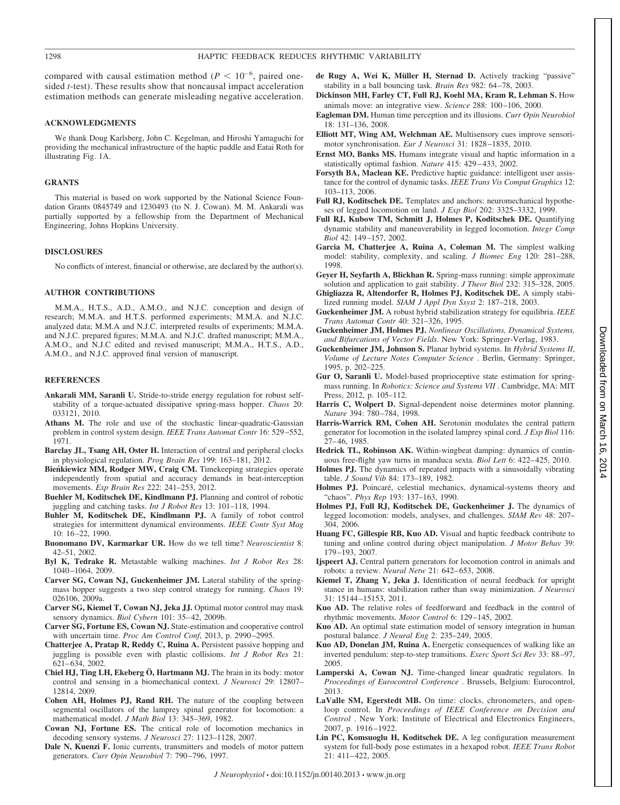compared with causal estimation method ( $P \le 10^{-6}$ , paired onesided *t*-test). These results show that noncausal impact acceleration estimation methods can generate misleading negative acceleration.

## **ACKNOWLEDGMENTS**

We thank Doug Karlsberg, John C. Kegelman, and Hiroshi Yamaguchi for providing the mechanical infrastructure of the haptic paddle and Eatai Roth for illustrating Fig. 1A.

### **GRANTS**

This material is based on work supported by the National Science Foundation Grants 0845749 and 1230493 (to N. J. Cowan). M. M. Ankarali was partially supported by a fellowship from the Department of Mechanical Engineering, Johns Hopkins University.

#### **DISCLOSURES**

No conflicts of interest, financial or otherwise, are declared by the author(s).

#### **AUTHOR CONTRIBUTIONS**

M.M.A., H.T.S., A.D., A.M.O., and N.J.C. conception and design of research; M.M.A. and H.T.S. performed experiments; M.M.A. and N.J.C. analyzed data; M.M.A and N.J.C. interpreted results of experiments; M.M.A. and N.J.C. prepared figures; M.M.A. and N.J.C. drafted manuscript; M.M.A., A.M.O., and N.J.C edited and revised manuscript; M.M.A., H.T.S., A.D., A.M.O., and N.J.C. approved final version of manuscript.

## **REFERENCES**

- **Ankarali MM, Saranli U.** Stride-to-stride energy regulation for robust selfstability of a torque-actuated dissipative spring-mass hopper. *Chaos* 20: 033121, 2010.
- **Athans M.** The role and use of the stochastic linear-quadratic-Gaussian problem in control system design. *IEEE Trans Automat Contr* 16: 529 –552, 1971.
- **Barclay JL, Tsang AH, Oster H.** Interaction of central and peripheral clocks in physiological regulation. *Prog Brain Res* 199: 163–181, 2012.
- **Bienkiewicz MM, Rodger MW, Craig CM. ´** Timekeeping strategies operate independently from spatial and accuracy demands in beat-interception movements. *Exp Brain Res* 222: 241–253, 2012.
- **Buehler M, Koditschek DE, Kindlmann PJ.** Planning and control of robotic juggling and catching tasks. *Int J Robot Res* 13: 101–118, 1994.
- **Buhler M, Koditschek DE, Kindlmann PJ.** A family of robot control strategies for intermittent dynamical environments. *IEEE Contr Syst Mag* 10: 16 –22, 1990.
- **Buonomano DV, Karmarkar UR.** How do we tell time? *Neuroscientist* 8: 42–51, 2002.
- **Byl K, Tedrake R.** Metastable walking machines. *Int J Robot Res* 28: 1040 –1064, 2009.
- **Carver SG, Cowan NJ, Guckenheimer JM.** Lateral stability of the springmass hopper suggests a two step control strategy for running. *Chaos* 19: 026106, 2009a.
- **Carver SG, Kiemel T, Cowan NJ, Jeka JJ.** Optimal motor control may mask sensory dynamics. *Biol Cybern* 101: 35-42, 2009b.
- **Carver SG, Fortune ES, Cowan NJ.** State-estimation and cooperative control with uncertain time. *Proc Am Control Conf*, 2013, p. 2990 –2995.
- **Chatterjee A, Pratap R, Reddy C, Ruina A.** Persistent passive hopping and juggling is possible even with plastic collisions. *Int J Robot Res* 21: 621– 634, 2002.
- **Chiel HJ, Ting LH, Ekeberg Ö, Hartmann MJ.** The brain in its body: motor control and sensing in a biomechanical context. *J Neurosci* 29: 12807– 12814, 2009.
- **Cohen AH, Holmes PJ, Rand RH.** The nature of the coupling between segmental oscillators of the lamprey spinal generator for locomotion: a mathematical model. *J Math Biol* 13: 345–369, 1982.
- **Cowan NJ, Fortune ES.** The critical role of locomotion mechanics in decoding sensory systems. *J Neurosci* 27: 1123–1128, 2007.
- **Dale N, Kuenzi F.** Ionic currents, transmitters and models of motor pattern generators. *Curr Opin Neurobiol* 7: 790 –796, 1997.
- **de Rugy A, Wei K, Müller H, Sternad D.** Actively tracking "passive" stability in a ball bouncing task. *Brain Res* 982: 64 –78, 2003.
- **Dickinson MH, Farley CT, Full RJ, Koehl MA, Kram R, Lehman S.** How animals move: an integrative view. *Science* 288: 100 –106, 2000.
- **Eagleman DM.** Human time perception and its illusions. *Curr Opin Neurobiol* 18: 131–136, 2008.
- **Elliott MT, Wing AM, Welchman AE.** Multisensory cues improve sensorimotor synchronisation. *Eur J Neurosci* 31: 1828 –1835, 2010.
- **Ernst MO, Banks MS.** Humans integrate visual and haptic information in a statistically optimal fashion. *Nature* 415: 429-433, 2002.
- **Forsyth BA, Maclean KE.** Predictive haptic guidance: intelligent user assistance for the control of dynamic tasks. *IEEE Trans Vis Comput Graphics* 12: 103–113, 2006.
- **Full RJ, Koditschek DE.** Templates and anchors: neuromechanical hypotheses of legged locomotion on land. *J Exp Biol* 202: 3325–3332, 1999.
- **Full RJ, Kubow TM, Schmitt J, Holmes P, Koditschek DE.** Quantifying dynamic stability and maneuverability in legged locomotion. *Integr Comp Biol* 42: 149 –157, 2002.
- **Garcia M, Chatterjee A, Ruina A, Coleman M.** The simplest walking model: stability, complexity, and scaling. *J Biomec Eng* 120: 281–288, 1998.
- **Geyer H, Seyfarth A, Blickhan R.** Spring-mass running: simple approximate solution and application to gait stability. *J Theor Biol* 232: 315–328, 2005.
- **Ghigliazza R, Altendorfer R, Holmes PJ, Koditschek DE.** A simply stabilized running model. *SIAM J Appl Dyn Ssyst* 2: 187–218, 2003.
- **Guckenheimer JM.** A robust hybrid stabilization strategy for equilibria. *IEEE Trans Automat Contr* 40: 321–326, 1995.
- **Guckenheimer JM, Holmes PJ.** *Nonlinear Oscillations, Dynamical Systems, and Bifurcations of Vector Fields*. New York: Springer-Verlag, 1983.
- **Guckenheimer JM, Johnson S.** Planar hybrid systems. In *Hybrid Systems II*, *Volume of Lecture Notes Computer Science* . Berlin, Germany: Springer, 1995, p. 202–225.
- **Gur O, Saranli U.** Model-based proprioceptive state estimation for springmass running. In *Robotics: Science and Systems VII* . Cambridge, MA: MIT Press, 2012, p. 105–112.
- **Harris C, Wolpert D.** Signal-dependent noise determines motor planning. *Nature* 394: 780 –784, 1998.
- **Harris-Warrick RM, Cohen AH.** Serotonin modulates the central pattern generator for locomotion in the isolated lamprey spinal cord. *J Exp Biol* 116: 27– 46, 1985.
- **Hedrick TL, Robinson AK.** Within-wingbeat damping: dynamics of continuous free-flight yaw turns in manduca sexta. *Biol Lett* 6: 422– 425, 2010.
- **Holmes PJ.** The dynamics of repeated impacts with a sinusoidally vibrating table. *J Sound Vib* 84: 173–189, 1982.
- **Holmes PJ.** Poincaré, celestial mechanics, dynamical-systems theory and "chaos". *Phys Rep* 193: 137–163, 1990.
- **Holmes PJ, Full RJ, Koditschek DE, Guckenheimer J.** The dynamics of legged locomotion: models, analyses, and challenges. *SIAM Rev* 48: 207– 304, 2006.
- **Huang FC, Gillespie RB, Kuo AD.** Visual and haptic feedback contribute to tuning and online control during object manipulation. *J Motor Behav* 39: 179 –193, 2007.
- **Ijspeert AJ.** Central pattern generators for locomotion control in animals and robots: a review. *Neural Netw* 21: 642-653, 2008.
- **Kiemel T, Zhang Y, Jeka J.** Identification of neural feedback for upright stance in humans: stabilization rather than sway minimization. *J Neurosci* 31: 15144 –15153, 2011.
- **Kuo AD.** The relative roles of feedforward and feedback in the control of rhythmic movements. *Motor Control* 6: 129 –145, 2002.
- **Kuo AD.** An optimal state estimation model of sensory integration in human postural balance. *J Neural Eng* 2: 235–249, 2005.
- **Kuo AD, Donelan JM, Ruina A.** Energetic consequences of walking like an inverted pendulum: step-to-step transitions. *Exerc Sport Sci Rev* 33: 88 –97, 2005.
- **Lamperski A, Cowan NJ.** Time-changed linear quadratic regulators. In *Proceedings of Eurocontrol Conference* . Brussels, Belgium: Eurocontrol, 2013.
- LaValle SM, Egerstedt MB. On time: clocks, chronometers, and openloop control. In *Proceedings of IEEE Conference on Decision and Control* . New York: Institute of Electrical and Electronics Engineers, 2007, p. 1916 –1922.
- **Lin PC, Komsuoglu H, Koditschek DE.** A leg configuration measurement system for full-body pose estimates in a hexapod robot. *IEEE Trans Robot* 21: 411– 422, 2005.